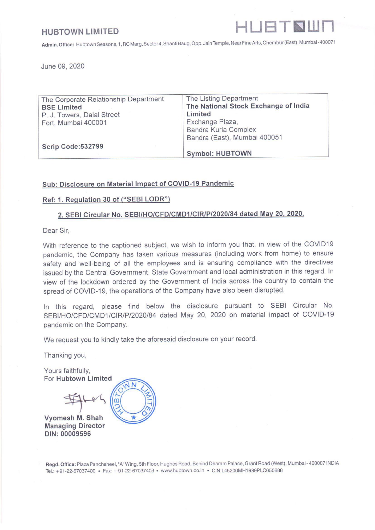## **HUBTOWN LIMITED**



Admin. Office: Hubtown Seasons, 1,RC Marg, Sector 4, Shanti Baug, Opp. Jain Temple, Near Fine Arts, Chembur (East), Mumbai-400071 HUBTOWN LIMITED<br>Admin. Office: Hubtown Seasons, 1, RC Marg, Sector 4, Shanti Ba<br>June 09, 2020

| <b>HUBTOWN LIMITED</b>                                      | HUETNUI                                                                                                                        |
|-------------------------------------------------------------|--------------------------------------------------------------------------------------------------------------------------------|
|                                                             | Admin. Office: Hubtown Seasons, 1, RC Marg, Sector 4, Shanti Baug, Opp. Jain Temple, Near Fine Arts, Chembur (East), Mumbai-40 |
| June 09, 2020                                               |                                                                                                                                |
| The Corporate Relationship Department<br><b>BSE Limited</b> | The Listing Department<br>The National Stock Exchange of India                                                                 |
| P. J. Towers, Dalal Street                                  | Limited                                                                                                                        |
| Fort, Mumbai 400001                                         | Exchange Plaza,<br>Bandra Kurla Complex                                                                                        |
|                                                             | Bandra (East), Mumbai 400051                                                                                                   |
| Scrip Code:532799                                           | <b>Symbol: HUBTOWN</b>                                                                                                         |
|                                                             |                                                                                                                                |

## Sub: Disclosure on Material Impact of COVID-19 Pandemic

## Ref: 1. Regulation 30 of ("SEBI LODR")

## 2. SEBI Circular No. SEBI/HO/CFD/CMD1/CIR/P/2020/84 dated May 20, 2020.

Dear Sir,

**Contract Contract Contract Contract** 

With reference to the captioned subject, we wish to inform you that, in view of the COVID19 pandemic, the Company has taken various measures (including work from home) to ensure safety and well-being of all the employees and is ensuring compliance with the directives issued by the Central Government, State Government and local administration in this regard. In view of the lockdown ordered by the Government of India across. the country to contain the spread of COVID-19, the operations of the Company have also been disrupted.

In this regard, please find below the disclosure pursuant to SEBI Circular No. SEBI/HO/CFD/CMD1/CIR/P/2020/84 dated May 20, 2020 on material impact of COVID-19 pandemic on the Company.

We request you to kindly take the aforesaid disclosure on your record.

Thanking you,

Yours faithfully, For Hubtown Limited **JN** Vyomesh M. Shah

Managing Director DIN: 00009596

Regd. Office: Plaza Panchsheel, "A" Wing, 5th Floor, Hughes Road, Behind Dharam Palace, Grant Road (West), Mumbai - 400007 INDIA Tel.: +91-22-67037400 « Fax: +91-22-67037403 » www.hubtown.co.in \* CIN:L45200MH1989PLC050688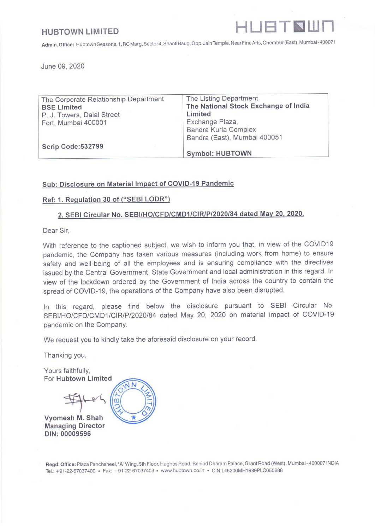

## **HUBTOWN LIMITED**

Admin. Office: Hubtown Seasons, 1, RC Marg, Sector 4, ShantiBaug, Opp. Jain Temple, Near Fine Arts, Chembur (East), Mumbai-400071 BTOWN LIMITED<br>
n. Office: Hubtown Seasons, 1, RC Marg, Sector 4, Shanti Baug<br>
DISCLOSURE OF MATERIAL I

|         | <b>JBTOWN LIMITED</b>                                                                                                                 | HUBTNUI                                                                                                                                                                                                                                                                                                                                                                                                                                             |
|---------|---------------------------------------------------------------------------------------------------------------------------------------|-----------------------------------------------------------------------------------------------------------------------------------------------------------------------------------------------------------------------------------------------------------------------------------------------------------------------------------------------------------------------------------------------------------------------------------------------------|
|         |                                                                                                                                       | nin. Office: Hubtown Seasons, 1, RC Marg, Sector 4, Shanti Baug, Opp. Jain Temple, Near Fine Arts, Chembur (East), Mumbai-4!<br>DISCLOSURE OF MATERIAL IMPACT OF COVID-19 PANDEMIC                                                                                                                                                                                                                                                                  |
| Sr. No. | Particulars                                                                                                                           | <b>Disclosure</b>                                                                                                                                                                                                                                                                                                                                                                                                                                   |
| 1.      | Impact of the CoVID-19<br>pandemic on the business                                                                                    | Covid -19 Pandemic has led to disruption in the<br>business of the Company. We, being in the real<br>estate sector, all our sites were completely shut down<br>from 22.03.2020.Subsequently, the labour has<br>migrated to its native place thereby leading to<br>uncertainty on resumption of operations. All these<br>factors will ultimately lead to delay in completion of<br>projects and handing over of possession of units to<br>Customers. |
| 2.      | Ability<br>to<br>maintain<br>operations<br>including<br>the<br>factories/units/office spaces<br>functioning<br>and<br>closed<br>down; | The operations<br>a. At office was only partial due to shut down.<br>Whatever was possible with work for home by<br>staff were being done.<br>b. At sites were complete shut, as was not<br>permitted under shut down.                                                                                                                                                                                                                              |
| 3.      | Schedule<br>if<br>any,<br>restarting the operations                                                                                   | Uncertain as of now, as company and its most of the<br>sites are based at Mumbai, where unlock is only<br>for nominal till 30 <sup>th</sup> June, 2020.                                                                                                                                                                                                                                                                                             |
| 4.      | Step taken<br>to<br>smooth<br>functioning<br>of<br>operations.                                                                        | All the construction site, essential safety work are<br>put in place. However with labour not available and<br>office required to operate from 9 <sup>th</sup> June only with<br>10% staff strength, smooth functioning in near future<br>is not possible. However care is being taken to<br>ensure to maintain the functioning at the minimum<br>ensure  level. Key employees do work from home.                                                   |
|         |                                                                                                                                       | 1<br>Delay in completion of Projects.<br>2.<br>Slow movement in Trade Receivables<br>3. Price, may see downward trends.<br>High Inventory Cost.<br>4.<br>5. Expected Cancellations of sold units.<br>6. Downward Valuation of inventory of FSI<br>/Finished apartments and under construction<br>units,                                                                                                                                             |
| 5.      | Estimation of<br>the<br>future<br>impact of CoVID-19 on its<br>operations.                                                            | All the above factors will ultimately affect the<br>profitability and Cash Flows of the Company,<br>during current year.<br>NN                                                                                                                                                                                                                                                                                                                      |

# DISCLOSURE OF MATERIAL IMPACT OF COVID-19 PANDEMIC

**pbar 400** Pegd. Office: Plaza Panchsheel, "A" Wing, 5th Floor, Hughes Road, Behind Dharam Palace, Grant Road (West), Mambar<sup>k</sup>400007 INDIA Tel.: +91-22-67037400 + Fax: +91-22-67037403 » www.hubtown.co.in \* CIN:L45200MH1989PLC050688